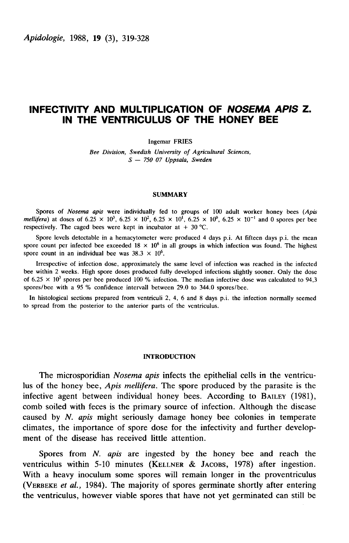# INFECTIVITY AND MULTIPLICATION OF NOSEMA APIS Z. IN THE VENTRICULUS OF THE HONEY BEE

Ingemar FRIES

Bee Division, Swedish University of Agricultural Sciences,  $S - 75007$  Uppsala, Sweden

## SUMMARY

Spores of Nosema apis were individually fed to groups of 100 adult worker honey bees (Apis *mellifera*) at doses of  $6.25 \times 10^3$ ,  $6.25 \times 10^2$ ,  $6.25 \times 10^1$ ,  $6.25 \times 10^0$ ,  $6.25 \times 10^{-1}$  and 0 spores per bee respectively. The caged bees were kept in incubator at  $+30$  °C.

Spore levels detectable in a hemacytometer were produced 4 days p.i. At fifteen days p.i. the mean spore count per infected bee exceeded  $18 \times 10^6$  in all groups in which infection was found. The highest spore count in an individual bee was  $38.3 \times 10^6$ .

Irrespective of infection dose, approximately the same level of infection was reached in the infected bee within 2 weeks. High spore doses produced fully developed infections slightly sooner. Only the dose of 6.25  $\times$  10<sup>3</sup> spores per bee produced 100 % infection. The median infective dose was calculated to 94,3 spores/bee with a 95 % confidence intervall between 29.0 to 344.0 spores/bee.

In histological sections prepared from ventriculi 2, 4, 6 and 8 days p.i. the infection normally seemed to spread from the posterior to the anterior parts of the ventriculus.

#### INTRODUCTION

The microsporidian Nosema apis infects the epithelial cells in the ventriculus of the honey bee, Apis mellifera. The spore produced by the parasite is the infective agent between individual honey bees. According to BAILEY (1981), comb soiled with feces is the primary source of infection. Although the disease caused by N. apis might seriously damage honey bee colonies in temperate climates, the importance of spore dose for the infectivity and further development of the disease has received little attention.

Spores from N. *apis* are ingested by the honey bee and reach the ventriculus within 5-10 minutes (KELLNER  $&$  JACOBS, 1978) after ingestion. With a heavy inoculum some spores will remain longer in the proventriculus ventriculus within 5-10 minutes (KELLNER & JACOBS, 1978) after ingestion.<br>With a heavy inoculum some spores will remain longer in the proventriculus<br>(VERBEKE *et al.*, 1984). The majority of spores germinate shortly after the ventriculus, however viable spores that have not yet germinated can still be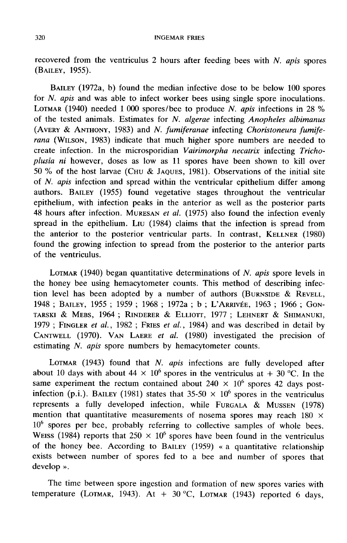recovered from the ventriculus 2 hours after feeding bees with  $N$ . apis spores (BAILEY, 1955).

BAILEY (1972a, b) found the median infective dose to be below 100 spores for *N. apis* and was able to infect worker bees using single spore inoculations. BAILEY (1972a, b) found the median infective dose to be below 100 spores<br>for *N. apis* and was able to infect worker bees using single spore inoculations.<br>LOTMAR (1940) needed 1 000 spores/bee to produce *N. apis* infecti of the tested animals. Estimates for N. algerae infecting Anopheles albimanus BAILEY (1972a, b) found the median infective dose to be below 100 spores<br>for *N. apis* and was able to infect worker bees using single spore inoculations.<br>LOTMAR (1940) needed 1 000 spores/bee to produce *N. apis* infectio create infection. In the microsporidian Vairimorpha necatrix infecting Trichoplusia ni however, doses as low as 11 spores have been shown to kill over rana (WILSON, 1983) indicate that much higher spore numbers are needed to<br>create infection. In the microsporidian *Vairimorpha necatrix* infecting *Tricho-*<br>plusia ni however, doses as low as 11 spores have been shown to k of N. apis infection and spread within the ventricular epithelium differ among authors. BAILEY (1955) found vegetative stages throughout the ventricular epithelium, with infection peaks in the anterior as well as the posterior parts 50 % of the host larvae (CHU & JAQUES, 1981). Observations of the initial site of N. *apis* infection and spread within the ventricular epithelium differ among authors. BAILEY (1955) found vegetative stages throughout the spread in the epithelium. Liu (1984) claims that the infection is spread from 48 hours after infection. MURESAN *et al.* (1975) also found the infection evenly found the growing infection to spread from the posterior to the anterior parts of the ventriculus. d the growing infection to spread from the posterior to the anterior parts<br>the ventriculus.<br>LOTMAR (1940) began quantitative determinations of N. apis spore levels in<br>honey bee using hemacytometer counts. This method of de

the honey bee using hemacytometer counts. This method of describing infection level has been adopted by a number of authors (BURNSIDE & REVELL, 1948; BAILEY, 1955; 1959; 1968; 1972a; b; L'ARRIVÉE, 1963; 1966; GONTARSKI & M LOTMAR (1940) began quantitative determinations of *N. apis* spore levels in<br>the honey bee using hemacytometer counts. This method of describing infec-<br>tion level has been adopted by a number of authors (BURNSIDE & REVELL, TARSKI & MEBS, 1964 ; RINDERER & ELLIOTT, 1977 ; LEHNERT & SHIMANUKI, tion level has been adopted by a number of authors (BURNSIDE & REVELL, 1948; BAILEY, 1955; 1959; 1968; 1972a; b; L'ARRIVÉE, 1963; 1966; GON-1979; FINGLER et al., 1982; FRIES et al., 1984) and was described in detail by estimating N. apis spore numbers by hemacytometer counts. CANTWELL (1970). VAN LAERE *et al.* (1980) investigated the precision of estimating  $N$ . *apis* spore numbers by hemacytometer counts.<br>LOTMAR (1943) found that  $N$ . *apis* infections are fully developed after

about 10 days with about 44  $\times$  10<sup>6</sup> spores in the ventriculus at + 30 °C. In the same experiment the rectum contained about  $240 \times 10^6$  spores 42 days postinfection (p.i.). BAILEY (1981) states that  $35-50 \times 10^6$  spores in the ventriculus represents a fully developed infection, while FURGALA & MUSSEN (1978) about 10 days with about  $44 \times 10^6$  spores in the ventriculus at  $+ 30$  °C. In the same experiment the rectum contained about  $240 \times 10^6$  spores 42 days post-<br>infection (p.i.). BAILEY (1981) states that 35-50  $\times$  10<sup>6</sup> mention that quantitative measurements of nosema spores may reach  $180 \times$ mention that quantitative measurements of nosema spores may reach 180  $\times$  10<sup>6</sup> spores per bee, probably referring to collective samples of whole bees.<br>WEISS (1984) reports that 250  $\times$  10<sup>6</sup> spores have been found in t of the honey bee. According to BAILEY (1959) « a quantitative relationship exists between number of spores fed to a bee and number of spores that develop ».

The time between spore ingestion and formation of new spores varies with temperature (LOTMAR, 1943). At  $+$  30 °C, LOTMAR (1943) reported 6 days,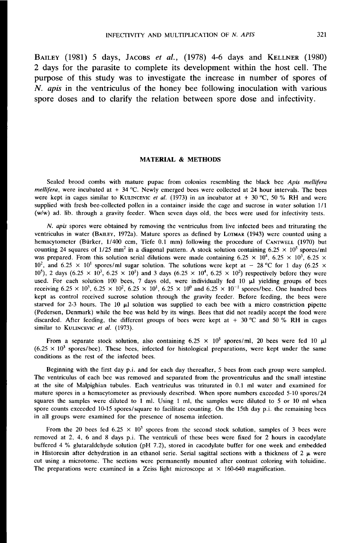INFECTIVITY AND MULTIPLICATION OF *N. APIS* 321<br>BAILEY (1981) 5 days, JACOBS *et al.*, (1978) 4-6 days and KELLNER (1980) 2 days for the parasite to complete its development within the host cell. The purpose of this study was to investigate the increase in number of spores of  $N$ . apis in the ventriculus of the honey bee following inoculation with various spore doses and to clarify the relation between spore dose and infectivity.

# MATERIAL & METHODS

Sealed brood combs with mature pupae from colonies resembling the black bee Apis mellifera mellifera, were incubated at + 34 °C. Newly emerged bees were collected at 24 hour intervals. The bees were kept in cages similar to KULINCEVIC *et al.* (1973) in an incubator at + 30 °C, 50 % RH and were WATERIAL **& METHODS**<br>Sealed brood combs with mature pupae from colonies resembling the black bee *Apis mellifere*<br>mellifera, were incubated at + 34 °C. Newly emerged bees were collected at 24 hour intervals. The bees<br>were (w/w) ad. lib. through a gravity feeder. When seven days old, the bees were used for infectivity tests.

N. apis spores were obtained by removing the ventriculus from live infected bees and triturating the ventriculus in water (BAILEY, 1972a). Mature spores as defined by LOTMAR (1943) were counted using a (w/w) ad. lib. through a gravity feeder. When seven days old, the bees were used for infectivity tests.<br> *N. apis* spores were obtained by removing the ventriculus from live infected bees and triturating the ventriculus i hemacytometer (Bürker, 1/400 ccm, Tiefe 0.1 mm) following the procedure of CANTWELL (1970) but counting 24 squares of 1/25 mm<sup>2</sup> in a diagonal pattern. A stock solution containing 6.25 × 10<sup>5</sup> spores/ml was prepared. From  $10^2$ , and 6.25  $\times$  10<sup>1</sup> spores/ml sugar solution. The solutions were kept at  $-$  28 °C for 1 day (6.25  $\times$  $10^5$ ), 2 days (6.25 × 10<sup>3</sup>, 6.25 × 10<sup>1</sup>) and 3 days (6.25 × 10<sup>4</sup>, 6.25 × 10<sup>2</sup>) respectively before they were used. For each solution 100 bees, 7 days old, were individually fed 10  $\mu$ l yielding groups of bees receiving  $6.25 \times 10^3$ ,  $6.25 \times 10^2$ ,  $6.25 \times 10^1$ ,  $6.25 \times 10^0$  and  $6.25 \times 10^{-1}$  spores/bee. One hundred bees Exercise of a control received sucrose solution through the gravity feeder. Before feeding, the bees were starved for 2-3 hours. The 10  $\mu$ l solution was supplied to each bee with a micro constriction pipette (Pedersen, starved for 2-3 hours. The 10  $\mu$ l solution was supplied to each bee with a micro constriction pipette (Pedersen, Denmark) while the bee was held by its wings. Bees that did not readily accept the food were discarded. After feeding, the different groups of bees were kept at  $+30$  °C and 50 % RH in cages similar to KULINCEVIC *et al.* (1973).

From a separate stock solution, also containing  $6.25 \times 10^5$  spores/ml, 20 bees were fed 10  $\mu$ l  $(6.25 \times 10^3$  spores/bee). These bees, infected for histological preparations, were kept under the same conditions as the rest of the infected bees.

Beginning with the first day p.i. and for each day thereafter, 5 bees from each group were sampled. The ventriculus of each bee was removed and separated from the proventriculus and the small intestine at the site of Malpighian tubules. Each ventriculus was triturated in 0.1 ml water and examined for mature spores in a hemacytometer as previously described. When spore numbers exceeded 5-10 spores/24 squares the samples were diluted to 1 ml. Using 1 ml, the samples were diluted to 5 or 10 ml when spore counts exceeded 10-15 spores/square to facilitate counting. On the 15th day p.i. the remaining bees in all groups were examined for the presence of nosema infection.

From the 20 bees fed 6.25  $\times$  10<sup>3</sup> spores from the second stock solution, samples of 3 bees were removed at 2, 4, 6 and 8 days p.i. The ventriculi of these bees were fixed for 2 hours in cacodylate buffered 4 % glutaraldehyde solution (pH 7.2), stored in cacodylate buffer for one week and embedded in Historesin after dehydration in an ethanol serie. Serial sagittal sections with a thickness of 2  $\mu$  were cut using a microtome. The sections were permanently mounted after contrast coloring with toluidine. The preparations were examined in a Zeiss light microscope at  $\times$  160-640 magnification.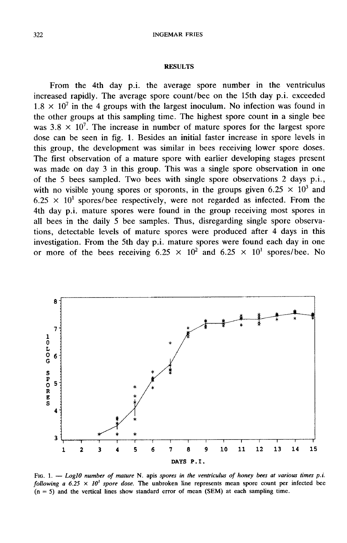## **RESULTS**

From the 4th day p.i. the average spore number in the ventriculus increased rapidly. The average spore count/bee on the 15th day p.i. exceeded  $1.8 \times 10^{7}$  in the 4 groups with the largest inoculum. No infection was found in the other groups at this sampling time. The highest spore count in a single bee was  $3.8 \times 10^7$ . The increase in number of mature spores for the largest spore dose can be seen in fig. 1. Besides an initial faster increase in spore levels in this group, the development was similar in bees receiving lower spore doses. The first observation of a mature spore with earlier developing stages present was made on day 3 in this group. This was a single spore observation in one of the 5 bees sampled. Two bees with single spore observations 2 days p.i., with no visible young spores or sporonts, in the groups given 6.25  $\times$  10<sup>3</sup> and  $6.25 \times 10^{1}$  spores/bee respectively, were not regarded as infected. From the 4th day p.i. mature spores were found in the group receiving most spores in all bees in the daily 5 bee samples. Thus, disregarding single spore observations, detectable levels of mature spores were produced after 4 days in this investigation. From the 5th day p.i. mature spores were found each day in one or more of the bees receiving  $6.25 \times 10^2$  and  $6.25 \times 10^1$  spores/bee. No



FIG. 1. - Log10 number of mature N. apis spores in the ventriculus of honey bees at various times p.i. following a 6.25  $\times$  10<sup>3</sup> spore dose. The unbroken line represents mean spore count per infected bee  $(n = 5)$  and the vertical lines show standard error of mean (SEM) at each sampling time.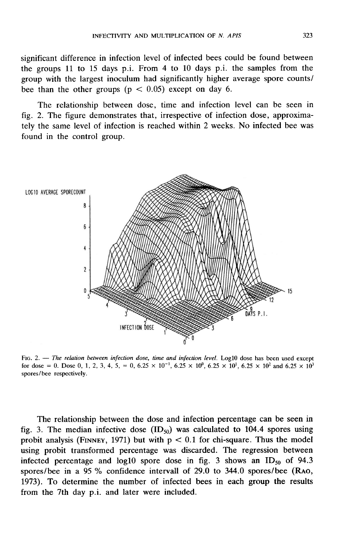significant difference in infection level of infected bees could be found between the groups 11 to 15 days p.i. From 4 to 10 days p.i. the samples from the group with the largest inoculum had significantly higher average spore counts/ / bee than the other groups ( $p < 0.05$ ) except on day 6.

The relationship between dose, time and infection level can be seen in fig. 2. The figure demonstrates that, irrespective of infection dose, approximately the same level of infection is reached within 2 weeks. No infected bee was found in the control group.



FIG. 2.  $-$  The relation between infection dose, time and infection level. Log10 dose has been used except for dose = 0. Dose 0, 1, 2, 3, 4, 5, = 0, 6.25  $\times$  10<sup>-1</sup>, 6.25  $\times$  10<sup>0</sup>, 6.25  $\times$  10<sup>1</sup>, 6.25  $\times$  10<sup>2</sup> and 6.25  $\times$  10<sup>3</sup> spores/bee respectively.

The relationship between the dose and infection percentage can be seen in The relationship between the dose and infection percentage can be seen in fig. 3. The median infective dose  $(ID_{50})$  was calculated to 104.4 spores using probit analysis (FINNEY, 1971) but with  $p < 0.1$  for chi-square. Thu using probit transformed percentage was discarded. The regression between using probit transformed percentage was discarded. The regression between<br>infected percentage and log10 spore dose in fig. 3 shows an  $ID_{50}$  of 94.3<br>spores/bee in a 95 % confidence intervall of 29.0 to 344.0 spores/bee ( 1973). To determine the number of infected bees in each group the results from the 7th day p.i. and later were included.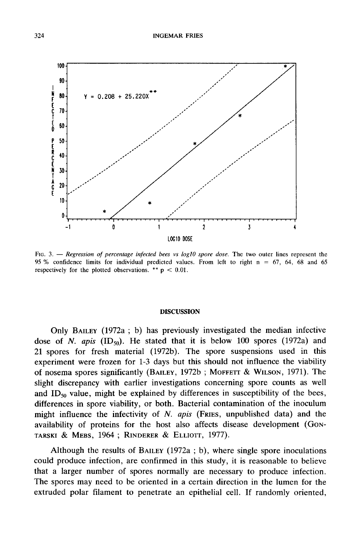

FIG. 3. - Regression of percentage infected bees vs log10 spore dose. The two outer lines represent the 95 % confidence limits for individual predicted values. From left to right  $n = 67$ , 64, 68 and 65 respectively for the plotted observations. \*\*  $p < 0.01$ .

#### DISCUSSION

Only BAILEY (1972a ; b) has previously investigated the median infective dose of N. apis  $(ID_{50})$ . He stated that it is below 100 spores (1972a) and 21 spores for fresh material (1972b). The spore suspensions used in this experiment were frozen for 1-3 days but this should not influence the viability of nosema spores significantly (BAILEY, 1972b; MOFFETT & WILSON, 1971). The dose of *N. apis* (ID<sub>50</sub>). He stated that it is below 100 spores (1972a) and<br>21 spores for fresh material (1972b). The spore suspensions used in this<br>experiment were frozen for 1-3 days but this should not influence the slight discrepancy with earlier investigations concerning spore counts as well and ID<sub>50</sub> value, might be explained by differences in susceptibility of the bees, differences in spore viability, or both. Bacterial contamination of the inoculum might influence the infectivity of N. apis (FRIES, unpublished data) and the differences in spore viability, or both. Bacterial contamination of the inoculum<br>might influence the infectivity of N. apis (FRIES, unpublished data) and the<br>availability of proteins for the host also affects disease devel

Although the results of BAILEY (1972a ; b), where single spore inoculations could produce infection, are confirmed in this study, it is reasonable to believe that a larger number of spores normally are necessary to produce infection. The spores may need to be oriented in a certain direction in the lumen for the extruded polar filament to penetrate an epithelial cell. If randomly oriented,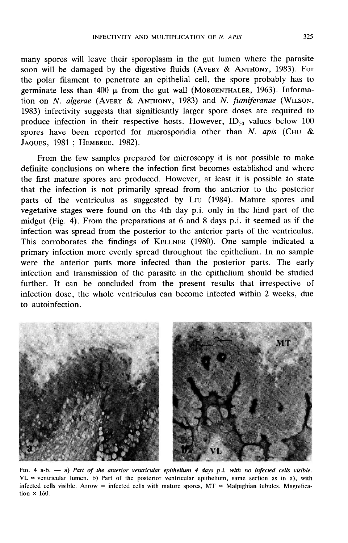**EXECTIVITY AND MULTIPLICATION OF N. APIS** 325<br>many spores will leave their sporoplasm in the gut lumen where the parasite<br>soon will be damaged by the digestive fluids (AVERY & ANTHONY, 1983). For<br>the polar filament to pe the polar filament to penetrate an epithelial cell, the spore probably has to INFECTIVITY AND MULTIPLICATION OF *N. APIS* 325<br>many spores will leave their sporoplasm in the gut lumen where the parasite<br>soon will be damaged by the digestive fluids (AVERY & ANTHONY, 1983). For<br>the polar filament to p many spores will leave their sporoplasm in the gut lumen where the parasite<br>soon will be damaged by the digestive fluids (AvERY & ANTHONY, 1983). For<br>the polar filament to penetrate an epithelial cell, the spore probably produce infection in their respective hosts. However,  $ID_{50}$  values below 100 spores have been reported for microsporidia other than N. apis (CHU & JAQUES, 1981; HEMBREE, 1982). Hon on *N. algerae* (AVERY & AN<br>1983) infectivity suggests that sign<br>produce infection in their respect<br>spores have been reported for  $\frac{1}{2}$ <br>JAQUES, 1981; HEMBREE, 1982).

From the few samples prepared for microscopy it is not possible to make definite conclusions on where the infection first becomes established and where the first mature spores are produced. However, at least it is possible to state that the infection is not primarily spread from the anterior to the posterior parts of the ventriculus as suggested by L<sub>IU</sub> (1984). Mature spores and vegetative stages were found on the 4th day p.i. only in the hind part of the midgut (Fig. 4). From the preparations at 6 and 8 days p.i. it seemed as if the infection was spread from the posterior to the anterior parts of the ventriculus. reflective stages were found on the 4th day p.i. only in the hind part of the midgut (Fig. 4). From the preparations at 6 and 8 days p.i. it seemed as if the infection was spread from the posterior to the anterior parts of primary infection more evenly spread throughout the epithelium. In no sample were the anterior parts more infected than the posterior parts. The early infection and transmission of the parasite in the epithelium should be studied further. It can be concluded from the present results that irrespective of infection dose, the whole ventriculus can become infected within 2 weeks, due to autoinfection.



FIG. 4 a-b.  $-$  a) Part of the anterior ventricular epithelium 4 days p.i. with no infected cells visible.  $VL$  = ventricular lumen. b) Part of the posterior ventricular epithelium, same section as in a), with infected cells visible. Arrow = infected cells with mature spores,  $MT =$  Malpighian tubules. Magnification  $\times$  160.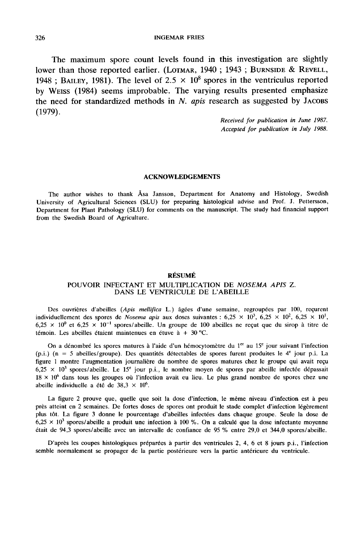The maximum spore count levels found in this investigation are slightly INGEMAR FRIES<br>The maximum spore count levels found in this investigation are slightly<br>lower than those reported earlier. (LOTMAR, 1940 ; 1943 ; BURNSIDE & REVELL, lower than those reported earlier. (LOTMAR, 1940; 1943; BURNSIDE & REVELL, 1948; BAILEY, 1981). The level of  $2.5 \times 10^8$  spores in the ventriculus reported<br>by WEISS (1984) seems improbable. The varying results presented (1979).

Received for publication in June 1987. Accepted for publication in July 1988.

#### ACKNOWLEDGEMENTS

The author wishes to thank Asa Jansson, Department for Anatomy and Histology, Swedish University of Agricultural Sciences (SLU) for preparing histological advise and Prof. J. Pettersson, Department for Plant Pathology (SLU) for comments on the manuscript. The study had financial support from the Swedish Board of Agriculture.

### RÉSUMÉ

## POUVOIR INFECTANT ET MULTIPLICATION DE NOSEMA APIS Z. DANS LE VENTRICULE DE L'ABEILLE

Des ouvrières d'abeilles (Apis mellifica L.) âgées d'une semaine, regroupées par 100, reçurent individuellement des spores de Nosema apis aux doses suivantes :  $6,25 \times 10^3, 6,25 \times 10^2, 6,25 \times 10^1$ ,  $6,25 \times 10^{0}$  et  $6,25 \times 10^{-1}$  spores/abeille. Un groupe de 100 abeilles ne reçut que du sirop à titre de témoin. Les abeilles étaient maintenues en étuve à  $+30$  °C.

On a dénombré les spores matures à l'aide d'un hémocytomètre du 1 $<sup>ct</sup>$  au 15<sup>e</sup> jour suivant l'infection</sup>  $(p,i)$  (n = 5 abeilles/groupe). Des quantités détectables de spores furent produites le  $4^e$  jour p.i. La figure 1 montre l'augmentation journalière du nombre de spores matures chez le groupe qui avait reçu  $6,25 \times 10^3$  spores/abeille. Le 15<sup>e</sup> jour p.i., le nombre moyen de spores par abeille infectée dépassait 18  $\times$  10<sup>6</sup> dans tous les groupes où l'infection avait eu lieu. Le plus grand nombre de spores chez une abeille individuelle a été de 38,3  $\times$  10<sup>6</sup>.

La figure 2 prouve que, quelle que soit la dose d'infection, le même niveau d'infection est à peu près atteint en 2 semaines. De fortes doses de spores ont produit le stade complet d'infection légèrement plus tôt. La figure 3 donne le pourcentage d'abeilles infectées dans chaque groupe. Seule la dose de  $6.25 \times 10^3$  spores/abeille a produit une infection à 100 %. On a calculé que la dose infectante moyenne était de 94,3 spores/abeille avec un intervalle de confiance de 95 % entre 29,0 et 344,0 spores/abeille.

D'après les coupes histologiques préparées à partir des ventricules 2, 4, 6 et 8 jours p.i., l'infection semble normalement se propager de la partie postérieure vers la partie antérieure du ventricule.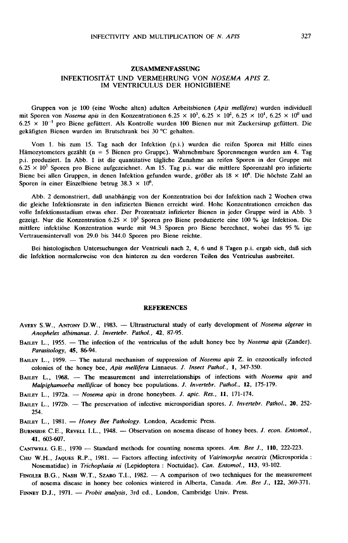# ZUSAMMENFASSUNG INFEKTIOSITÄT UND VERMEHRUNG VON NOSEMA APIS Z. IM VENTRICULUS DER HONIGBIENE

Gruppen von je 100 (eine Woche alten) adulten Arbeitsbienen (Apis mellifera) wurden individuell mit Sporen von Nosema apis in den Konzentrationen 6.25  $\times$  10<sup>3</sup>, 6.25  $\times$  10<sup>2</sup>, 6.25  $\times$  10<sup>1</sup>, 6.25  $\times$  10<sup>0</sup> und  $6.25 \times 10^{-1}$  pro Biene gefüttert. Als Kontrolle wurden 100 Bienen nur mit Zuckersirup gefüttert. Die gekäfigten Bienen wurden im Brutschrank bei 30 °C gehalten.

Vom 1. bis zum 15. Tag nach der Infektion (p.i.) wurden die reifen Sporen mit Hilfe eines Hämozytometers gezählt (n = 5 Bienen pro Gruppe). Wahrnehmbare Sporenmengen wurden am 4. Tag p.i. produziert. In Abb. 1 ist die quantitative tägliche Zunahme an reifen Sporen in der Gruppe mit  $6.25 \times 10^3$  Sporen pro Biene aufgezeichnet. Am 15. Tag p.i. war die mittlere Sporenzahl pro infizierte Biene bei allen Gruppen, in denen Infektion gefunden wurde, größer als  $18 \times 10^6$ . Die höchste Zahl an Sporen in einer Einzelbiene betrug  $38.3 \times 10^6$ .

Abb. 2 demonstriert, daß unabhängig von der Konzentration bei der Infektion nach 2 Wochen etwa die gleiche Infektionsrate in den infizierten Bienen erreicht wird. Hohe Konzentrationen erreichen das volle Infektionsstadium etwas eher. Der Prozentsatz infizierter Bienen in jeder Gruppe wird in Abb. 3 gezeigt. Nur die Konzentration 6.25  $\times$  10<sup>3</sup> Sporen pro Biene produzierte eine 100 % ige Infektion. Die mittlere infektiöse Konzentration wurde mit 94.3 Sporen pro Biene berechnet, wobei das 95 % ige Vertrauensintervall von 29.0 bis 344.0 Sporen pro Biene reichte.

Bei histologischen Untersuchungen der Ventriculi nach 2, 4, 6 und 8 Tagen p.i. ergab sich, daß sich die Infektion normalerweise von den hinteren zu den vorderen Teilen des Ventriculus ausbreitet.

#### **REFERENCES**

- AVERY S.W., ANTONY D.W., 1983. Ultrastructural study of early development of Nosema algerae in Anopheles albimanus. J. Invertebr. Pathol., 42, 87-95.
- BAILEY L., 1955. The infection of the ventriculus of the adult honey bee by Nosema apis (Zander). Parasitology, 45, 86-94.
- BAILEY L., 1959. The natural mechanism of suppression of Nosema apis Z. in enzootically infected colonies of the honey bee, Apis mellifera Linnaeus. J. Insect Pathol., 1, 347-350.
- BAILEY L., 1968. The measurement and interrelationships of infections with Nosema apis and Malpighamoeba mellificae of honey bee populations. J. Invertebr. Pathol., 12, 175-179.
- BAILEY L., 1972a. Nosema apis in drone honeybees. J. apic. Res., 11, 171-174.
- BAILEY L., 1972b. The preservation of infective microsporidian spores. J. Invertebr. Pathol., 20, 252-<br>254.<br>BURNSIDE C.E., REVELL I.L., 1948. Observation on nosema disease of honey bees. J. econ. Entomol., 41, 603-607. 254.
- BAILEY L., 1981. Honey Bee Pathology. London, Academic Press.
- 41, 603-607. BURNSIDE C.E., REVELL I.L., 1948. — Observation on nosema disease of honey bees. *J. econ. Entomol.*, 41, 603-607.<br>CANTWELL G.E., 1970 — Standard methods for counting nosema spores. Am. Bee J., 110, 222-223.
- 
- CHU W.H., JAQUES R.P., 1981. Factors affecting infectivity of Vairimorpha necatrix (Microsporida : Nosematidae) in Trichoplusia ni (Lepidoptera : Noctuidae). Can. Entomol., 113, 93-102. FINGLER B.G., NASH W.T., SZABO T.I., 1982. - A comparison of two techniques for the measurement of nosematidae) in *Trichoplusia ni* (Lepidoptera : Noctuidae). *Can. Entomol.*, 113, 93-102.<br>FINGLER B.G., NASH W.T., SZABO T
- of nosema disease in honey bee colonies wintered in Alberta, Canada. Am. Bee J., 122, 369-371. FINGLER B.G., NASH W.T., SZABO T.I., 1982. - A comparison of two technique of nosema disease in honey bee colonies wintered in Alberta, Canada. Am.<br>FINNEY D.J., 1971. - *Probit analysis*, 3rd ed., London, Cambridge Univ. P
-